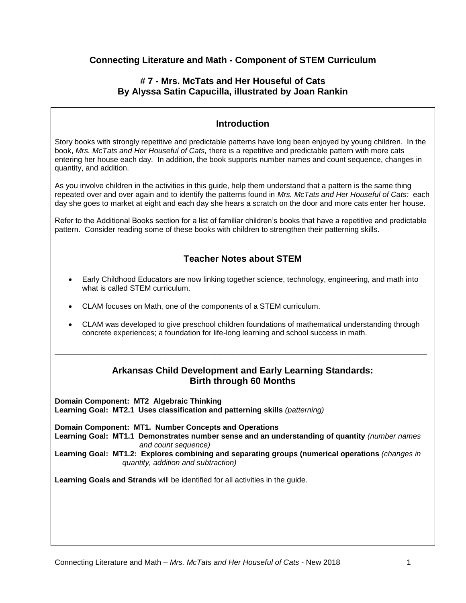# **Connecting Literature and Math - Component of STEM Curriculum**

## **# 7 - Mrs. McTats and Her Houseful of Cats By Alyssa Satin Capucilla, illustrated by Joan Rankin**

# **Introduction**

Story books with strongly repetitive and predictable patterns have long been enjoyed by young children. In the book, *Mrs. McTats and Her Houseful of Cats,* there is a repetitive and predictable pattern with more cats entering her house each day. In addition, the book supports number names and count sequence, changes in quantity, and addition.

As you involve children in the activities in this guide, help them understand that a pattern is the same thing repeated over and over again and to identify the patterns found in *Mrs. McTats and Her Houseful of Cats:* each day she goes to market at eight and each day she hears a scratch on the door and more cats enter her house.

Refer to the Additional Books section for a list of familiar children's books that have a repetitive and predictable pattern. Consider reading some of these books with children to strengthen their patterning skills.

# **Teacher Notes about STEM**

- Early Childhood Educators are now linking together science, technology, engineering, and math into what is called STEM curriculum.
- CLAM focuses on Math, one of the components of a STEM curriculum.
- CLAM was developed to give preschool children foundations of mathematical understanding through concrete experiences; a foundation for life-long learning and school success in math.

\_\_\_\_\_\_\_\_\_\_\_\_\_\_\_\_\_\_\_\_\_\_\_\_\_\_\_\_\_\_\_\_\_\_\_\_\_\_\_\_\_\_\_\_\_\_\_\_\_\_\_\_\_\_\_\_\_\_\_\_\_\_\_\_\_\_\_\_\_\_\_\_\_\_\_\_\_\_\_\_\_\_\_\_\_\_\_\_

## **Arkansas Child Development and Early Learning Standards: Birth through 60 Months**

**Domain Component: MT2 Algebraic Thinking Learning Goal: MT2.1 Uses classification and patterning skills** *(patterning)*

**Domain Component: MT1. Number Concepts and Operations Learning Goal: MT1.1 Demonstrates number sense and an understanding of quantity** *(number names and count sequence)* **Learning Goal: MT1.2: Explores combining and separating groups (numerical operations** *(changes in quantity, addition and subtraction)*

**Learning Goals and Strands** will be identified for all activities in the guide.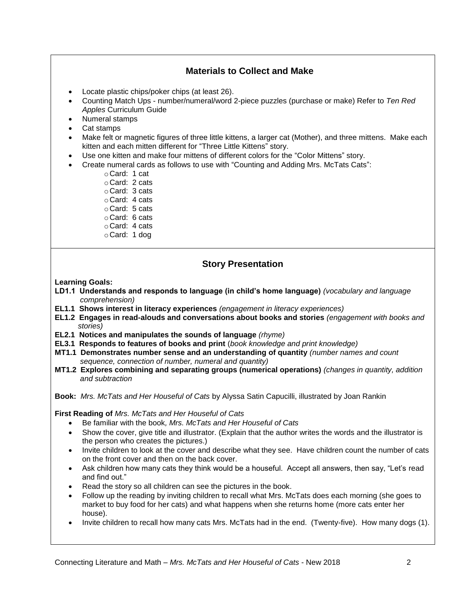# **Materials to Collect and Make**

- Locate plastic chips/poker chips (at least 26).
- Counting Match Ups number/numeral/word 2-piece puzzles (purchase or make) Refer to *Ten Red Apples* Curriculum Guide
- Numeral stamps
- Cat stamps
- Make felt or magnetic figures of three little kittens, a larger cat (Mother), and three mittens. Make each kitten and each mitten different for "Three Little Kittens" story.
- Use one kitten and make four mittens of different colors for the "Color Mittens" story.
- Create numeral cards as follows to use with "Counting and Adding Mrs. McTats Cats":
	- oCard: 1 cat
	- oCard: 2 cats
	- oCard: 3 cats
	- oCard: 4 cats
	- oCard: 5 cats
	- oCard: 6 cats
	- oCard: 4 cats
	- oCard: 1 dog

# **Story Presentation**

#### **Learning Goals:**

- **LD1.1 Understands and responds to language (in child's home language)** *(vocabulary and language comprehension)*
- **EL1.1 Shows interest in literacy experiences** *(engagement in literacy experiences)*
- **EL1.2 Engages in read-alouds and conversations about books and stories** *(engagement with books and stories)*
- **EL2.1 Notices and manipulates the sounds of language** *(rhyme)*
- **EL3.1 Responds to features of books and print** (*book knowledge and print knowledge)*
- **MT1.1 Demonstrates number sense and an understanding of quantity** *(number names and count sequence, connection of number, numeral and quantity)*
- **MT1.2 Explores combining and separating groups (numerical operations)** *(changes in quantity, addition and subtraction*

**Book:** *Mrs. McTats and Her Houseful of Cats* by Alyssa Satin Capucilli, illustrated by Joan Rankin

**First Reading of** *Mrs. McTats and Her Houseful of Cats*

- Be familiar with the book*, Mrs. McTats and Her Houseful of Cats*
- Show the cover, give title and illustrator. (Explain that the author writes the words and the illustrator is the person who creates the pictures.)
- Invite children to look at the cover and describe what they see. Have children count the number of cats on the front cover and then on the back cover.
- Ask children how many cats they think would be a houseful. Accept all answers, then say, "Let's read and find out."
- Read the story so all children can see the pictures in the book.
- Follow up the reading by inviting children to recall what Mrs. McTats does each morning (she goes to market to buy food for her cats) and what happens when she returns home (more cats enter her house).
- Invite children to recall how many cats Mrs. McTats had in the end. (Twenty-five). How many dogs (1).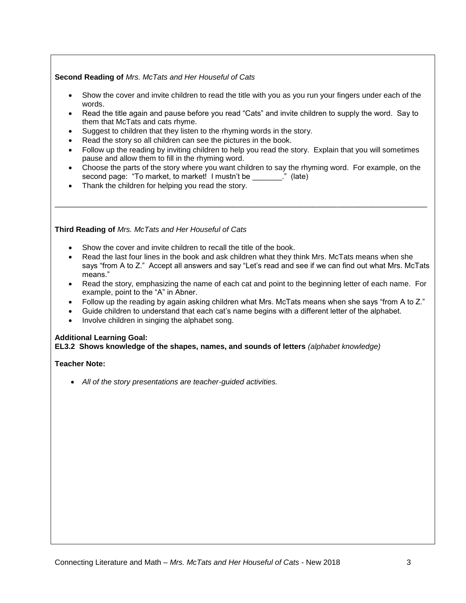### **Second Reading of** *Mrs. McTats and Her Houseful of Cats*

- Show the cover and invite children to read the title with you as you run your fingers under each of the words.
- Read the title again and pause before you read "Cats" and invite children to supply the word. Say to them that McTats and cats rhyme.
- Suggest to children that they listen to the rhyming words in the story.
- Read the story so all children can see the pictures in the book.
- Follow up the reading by inviting children to help you read the story. Explain that you will sometimes pause and allow them to fill in the rhyming word.
- Choose the parts of the story where you want children to say the rhyming word. For example, on the second page: "To market, to market! I mustn't be  $\blacksquare$  (late)

\_\_\_\_\_\_\_\_\_\_\_\_\_\_\_\_\_\_\_\_\_\_\_\_\_\_\_\_\_\_\_\_\_\_\_\_\_\_\_\_\_\_\_\_\_\_\_\_\_\_\_\_\_\_\_\_\_\_\_\_\_\_\_\_\_\_\_\_\_\_\_\_\_\_\_\_\_\_\_\_\_\_\_\_\_\_\_\_

Thank the children for helping you read the story.

#### **Third Reading of** *Mrs. McTats and Her Houseful of Cats*

- Show the cover and invite children to recall the title of the book.
- Read the last four lines in the book and ask children what they think Mrs. McTats means when she says "from A to Z." Accept all answers and say "Let's read and see if we can find out what Mrs. McTats means."
- Read the story, emphasizing the name of each cat and point to the beginning letter of each name. For example, point to the "A" in Abner.
- Follow up the reading by again asking children what Mrs. McTats means when she says "from A to Z."
- Guide children to understand that each cat's name begins with a different letter of the alphabet.
- Involve children in singing the alphabet song.

### **Additional Learning Goal:**

**EL3.2 Shows knowledge of the shapes, names, and sounds of letters** *(alphabet knowledge)*

### **Teacher Note:**

*All of the story presentations are teacher-guided activities.*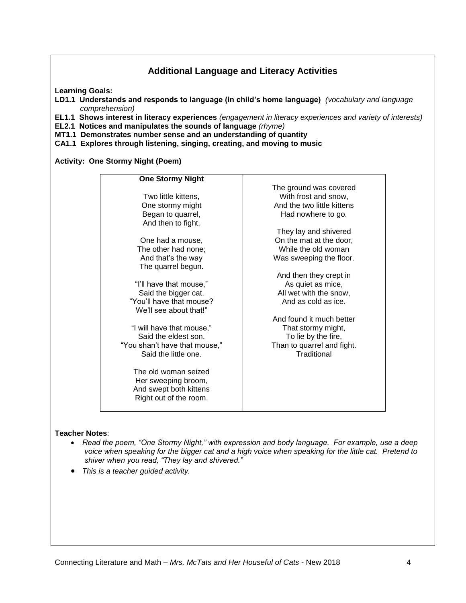# **Additional Language and Literacy Activities**

**Learning Goals:**

- **LD1.1 Understands and responds to language (in child's home language)** *(vocabulary and language comprehension)*
- **EL1.1 Shows interest in literacy experiences** *(engagement in literacy experiences and variety of interests)*
- **EL2.1 Notices and manipulates the sounds of language** *(rhyme)*
- **MT1.1 Demonstrates number sense and an understanding of quantity**
- **CA1.1 Explores through listening, singing, creating, and moving to music**

**Activity: One Stormy Night (Poem)**

| The ground was covered     |
|----------------------------|
| With frost and snow,       |
| And the two little kittens |
| Had nowhere to go.         |
|                            |
| They lay and shivered      |
| On the mat at the door,    |
| While the old woman        |
| Was sweeping the floor.    |
|                            |
| And then they crept in     |
| As quiet as mice,          |
| All wet with the snow,     |
| And as cold as ice.        |
|                            |
| And found it much better   |
| That stormy might,         |
| To lie by the fire,        |
| Than to quarrel and fight. |
| Traditional                |
|                            |
|                            |
|                            |
|                            |
|                            |
|                            |
|                            |

#### **Teacher Notes**:

- *Read the poem, "One Stormy Night," with expression and body language. For example, use a deep voice when speaking for the bigger cat and a high voice when speaking for the little cat. Pretend to shiver when you read, "They lay and shivered."*
- *This is a teacher guided activity.*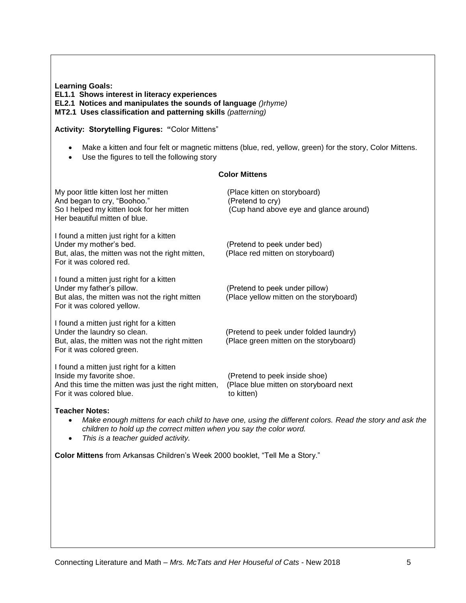**Learning Goals: EL1.1 Shows interest in literacy experiences EL2.1 Notices and manipulates the sounds of language** *()rhyme)* **MT2.1 Uses classification and patterning skills** *(patterning)*

#### **Activity: Storytelling Figures: "**Color Mittens"

- Make a kitten and four felt or magnetic mittens (blue, red, yellow, green) for the story, Color Mittens.
- Use the figures to tell the following story

#### **Color Mittens**

| My poor little kitten lost her mitten<br>And began to cry, "Boohoo."<br>So I helped my kitten look for her mitten<br>Her beautiful mitten of blue.      | (Place kitten on storyboard)<br>(Pretend to cry)<br>(Cup hand above eye and glance around) |
|---------------------------------------------------------------------------------------------------------------------------------------------------------|--------------------------------------------------------------------------------------------|
| I found a mitten just right for a kitten<br>Under my mother's bed.<br>But, alas, the mitten was not the right mitten,<br>For it was colored red.        | (Pretend to peek under bed)<br>(Place red mitten on storyboard)                            |
| I found a mitten just right for a kitten<br>Under my father's pillow.<br>But alas, the mitten was not the right mitten<br>For it was colored yellow.    | (Pretend to peek under pillow)<br>(Place yellow mitten on the storyboard)                  |
| I found a mitten just right for a kitten<br>Under the laundry so clean.<br>But, alas, the mitten was not the right mitten<br>For it was colored green.  | (Pretend to peek under folded laundry)<br>(Place green mitten on the storyboard)           |
| I found a mitten just right for a kitten<br>Inside my favorite shoe.<br>And this time the mitten was just the right mitten,<br>For it was colored blue. | (Pretend to peek inside shoe)<br>(Place blue mitten on storyboard next<br>to kitten)       |

#### **Teacher Notes:**

- *Make enough mittens for each child to have one, using the different colors. Read the story and ask the children to hold up the correct mitten when you say the color word.*
- *This is a teacher guided activity.*

**Color Mittens** from Arkansas Children's Week 2000 booklet, "Tell Me a Story."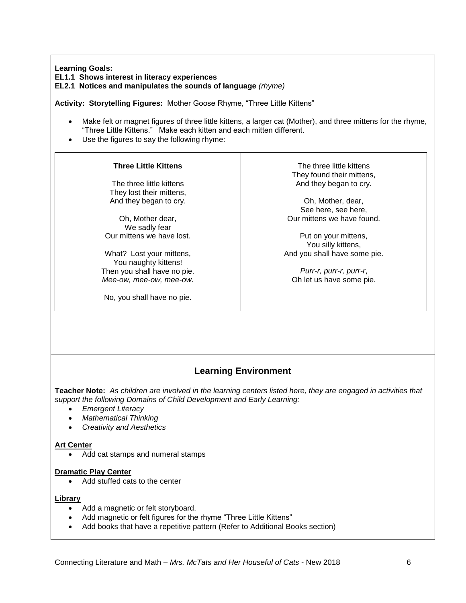**Learning Goals:**

**EL1.1 Shows interest in literacy experiences**

**EL2.1 Notices and manipulates the sounds of language** *(rhyme)*

**Activity: Storytelling Figures:** Mother Goose Rhyme, "Three Little Kittens"

- Make felt or magnet figures of three little kittens, a larger cat (Mother), and three mittens for the rhyme, "Three Little Kittens." Make each kitten and each mitten different.
- Use the figures to say the following rhyme:

### **Three Little Kittens**

The three little kittens They lost their mittens, And they began to cry.

Oh, Mother dear, We sadly fear Our mittens we have lost.

What? Lost your mittens, You naughty kittens! Then you shall have no pie. *Mee-ow, mee-ow, mee-ow*.

No, you shall have no pie.

The three little kittens They found their mittens, And they began to cry.

Oh, Mother, dear, See here, see here, Our mittens we have found.

Put on your mittens, You silly kittens, And you shall have some pie.

*Purr-r, purr-r, purr-r*, Oh let us have some pie.

# **Learning Environment**

**Teacher Note:** *As children are involved in the learning centers listed here, they are engaged in activities that support the following Domains of Child Development and Early Learning:*

- *Emergent Literacy*
- *Mathematical Thinking*
- *Creativity and Aesthetics*

### **Art Center**

Add cat stamps and numeral stamps

### **Dramatic Play Center**

• Add stuffed cats to the center

### **Library**

- Add a magnetic or felt storyboard.
- Add magnetic or felt figures for the rhyme "Three Little Kittens"
- Add books that have a repetitive pattern (Refer to Additional Books section)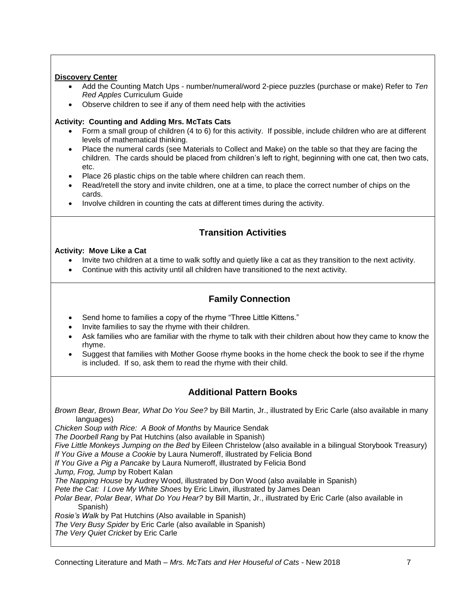## **Discovery Center**

- Add the Counting Match Ups number/numeral/word 2-piece puzzles (purchase or make) Refer to *Ten Red Apples* Curriculum Guide
- Observe children to see if any of them need help with the activities

## **Activity: Counting and Adding Mrs. McTats Cats**

- Form a small group of children (4 to 6) for this activity. If possible, include children who are at different levels of mathematical thinking.
- Place the numeral cards (see Materials to Collect and Make) on the table so that they are facing the children. The cards should be placed from children's left to right, beginning with one cat, then two cats, etc.
- Place 26 plastic chips on the table where children can reach them.
- Read/retell the story and invite children, one at a time, to place the correct number of chips on the cards.
- Involve children in counting the cats at different times during the activity.

# **Transition Activities**

### **Activity: Move Like a Cat**

- Invite two children at a time to walk softly and quietly like a cat as they transition to the next activity.
- Continue with this activity until all children have transitioned to the next activity.

# **Family Connection**

- Send home to families a copy of the rhyme "Three Little Kittens."
- Invite families to say the rhyme with their children.
- Ask families who are familiar with the rhyme to talk with their children about how they came to know the rhyme.
- Suggest that families with Mother Goose rhyme books in the home check the book to see if the rhyme is included. If so, ask them to read the rhyme with their child.

# **Additional Pattern Books**

*Brown Bear, Brown Bear, What Do You See?* by Bill Martin, Jr., illustrated by Eric Carle (also available in many languages)

*Chicken Soup with Rice: A Book of Months* by Maurice Sendak

*The Doorbell Rang* by Pat Hutchins (also available in Spanish)

*Five Little Monkeys Jumping on the Bed* by Eileen Christelow (also available in a bilingual Storybook Treasury) *If You Give a Mouse a Cookie* by Laura Numeroff, illustrated by Felicia Bond

*If You Give a Pig a Pancake* by Laura Numeroff, illustrated by Felicia Bond

*Jump, Frog, Jump* by Robert Kalan

*The Napping House* by Audrey Wood, illustrated by Don Wood (also available in Spanish)

*Pete the Cat: I Love My White Shoes* by Eric Litwin, illustrated by James Dean

*Polar Bear, Polar Bear, What Do You Hear?* by Bill Martin, Jr., illustrated by Eric Carle (also available in Spanish)

*Rosie's Walk* by Pat Hutchins (Also available in Spanish)

*The Very Busy Spider* by Eric Carle (also available in Spanish)

*The Very Quiet Cricket* by Eric Carle